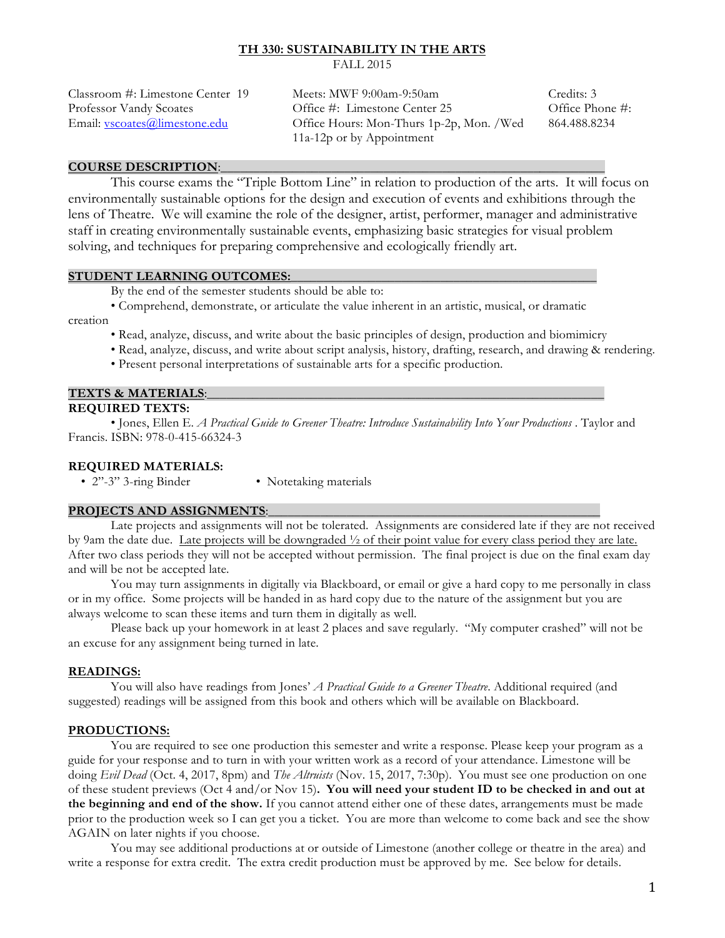# **TH 330: SUSTAINABILITY IN THE ARTS**

FALL 2015

| Classroom #: Limestone Center 19 | Meets: MWF $9:00$ am- $9:50$ am          | Credits: 3      |
|----------------------------------|------------------------------------------|-----------------|
| Professor Vandy Scoates          | Office #: Limestone Center 25            | Office Phone #: |
| Email: vscoates@limestone.edu    | Office Hours: Mon-Thurs 1p-2p, Mon. /Wed | 864.488.8234    |
|                                  | 11a-12p or by Appointment                |                 |

#### **COURSE DESCRIPTION:\_**

This course exams the "Triple Bottom Line" in relation to production of the arts. It will focus on environmentally sustainable options for the design and execution of events and exhibitions through the lens of Theatre. We will examine the role of the designer, artist, performer, manager and administrative staff in creating environmentally sustainable events, emphasizing basic strategies for visual problem solving, and techniques for preparing comprehensive and ecologically friendly art.

#### **STUDENT LEARNING OUTCOMES:**

By the end of the semester students should be able to:

• Comprehend, demonstrate, or articulate the value inherent in an artistic, musical, or dramatic

### creation

- Read, analyze, discuss, and write about the basic principles of design, production and biomimicry
- Read, analyze, discuss, and write about script analysis, history, drafting, research, and drawing & rendering.
- Present personal interpretations of sustainable arts for a specific production.

#### **TEXTS & MATERIALS:**

#### **REQUIRED TEXTS:**

 • Jones, Ellen E. *A Practical Guide to Greener Theatre: Introduce Sustainability Into Your Productions* . Taylor and Francis. ISBN: 978-0-415-66324-3

#### **REQUIRED MATERIALS:**

• 2"-3" 3-ring Binder • Notetaking materials

#### PROJECTS AND ASSIGNMENTS:

Late projects and assignments will not be tolerated. Assignments are considered late if they are not received by 9am the date due. Late projects will be downgraded ½ of their point value for every class period they are late. After two class periods they will not be accepted without permission. The final project is due on the final exam day and will be not be accepted late.

You may turn assignments in digitally via Blackboard, or email or give a hard copy to me personally in class or in my office. Some projects will be handed in as hard copy due to the nature of the assignment but you are always welcome to scan these items and turn them in digitally as well.

Please back up your homework in at least 2 places and save regularly. "My computer crashed" will not be an excuse for any assignment being turned in late.

#### **READINGS:**

You will also have readings from Jones' *A Practical Guide to a Greener Theatre*. Additional required (and suggested) readings will be assigned from this book and others which will be available on Blackboard.

#### **PRODUCTIONS:**

You are required to see one production this semester and write a response. Please keep your program as a guide for your response and to turn in with your written work as a record of your attendance. Limestone will be doing *Evil Dead* (Oct. 4, 2017, 8pm) and *The Altruists* (Nov. 15, 2017, 7:30p). You must see one production on one of these student previews (Oct 4 and/or Nov 15)**. You will need your student ID to be checked in and out at the beginning and end of the show.** If you cannot attend either one of these dates, arrangements must be made prior to the production week so I can get you a ticket. You are more than welcome to come back and see the show AGAIN on later nights if you choose.

You may see additional productions at or outside of Limestone (another college or theatre in the area) and write a response for extra credit. The extra credit production must be approved by me. See below for details.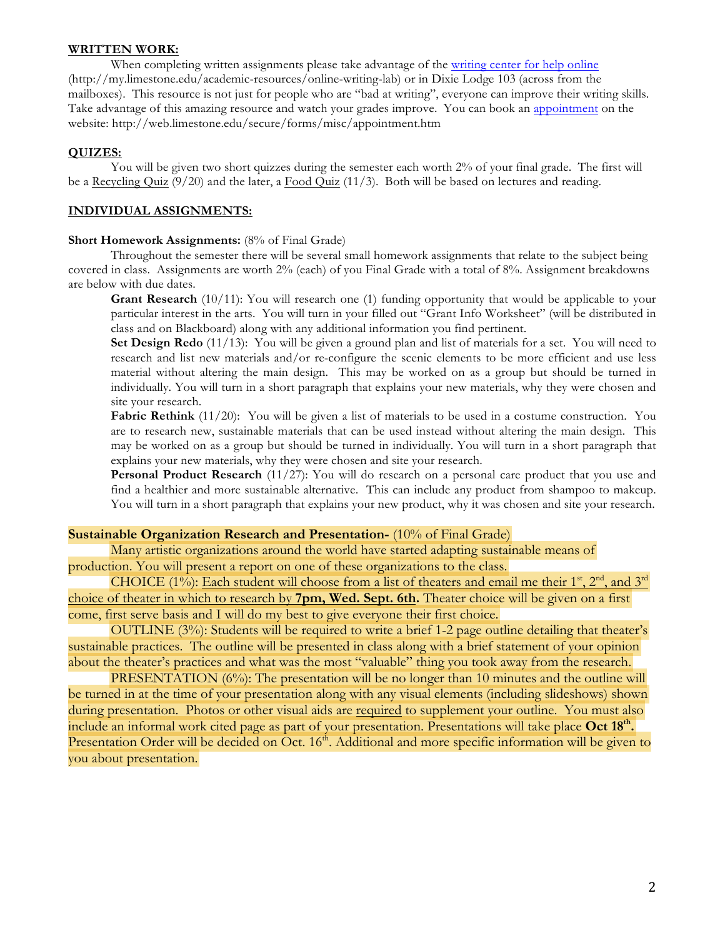#### **WRITTEN WORK:**

When completing written assignments please take advantage of the writing center for help online (http://my.limestone.edu/academic-resources/online-writing-lab) or in Dixie Lodge 103 (across from the mailboxes). This resource is not just for people who are "bad at writing", everyone can improve their writing skills. Take advantage of this amazing resource and watch your grades improve. You can book an appointment on the website: http://web.limestone.edu/secure/forms/misc/appointment.htm

### **QUIZES:**

You will be given two short quizzes during the semester each worth 2% of your final grade. The first will be a Recycling Quiz  $(9/20)$  and the later, a Food Quiz  $(11/3)$ . Both will be based on lectures and reading.

### **INDIVIDUAL ASSIGNMENTS:**

#### **Short Homework Assignments:** (8% of Final Grade)

Throughout the semester there will be several small homework assignments that relate to the subject being covered in class. Assignments are worth 2% (each) of you Final Grade with a total of 8%. Assignment breakdowns are below with due dates.

**Grant Research** (10/11): You will research one (1) funding opportunity that would be applicable to your particular interest in the arts. You will turn in your filled out "Grant Info Worksheet" (will be distributed in class and on Blackboard) along with any additional information you find pertinent.

**Set Design Redo** (11/13): You will be given a ground plan and list of materials for a set. You will need to research and list new materials and/or re-configure the scenic elements to be more efficient and use less material without altering the main design. This may be worked on as a group but should be turned in individually. You will turn in a short paragraph that explains your new materials, why they were chosen and site your research.

Fabric Rethink (11/20): You will be given a list of materials to be used in a costume construction. You are to research new, sustainable materials that can be used instead without altering the main design. This may be worked on as a group but should be turned in individually. You will turn in a short paragraph that explains your new materials, why they were chosen and site your research.

**Personal Product Research** (11/27): You will do research on a personal care product that you use and find a healthier and more sustainable alternative. This can include any product from shampoo to makeup. You will turn in a short paragraph that explains your new product, why it was chosen and site your research.

## **Sustainable Organization Research and Presentation-** (10% of Final Grade)

Many artistic organizations around the world have started adapting sustainable means of production. You will present a report on one of these organizations to the class.

CHOICE (1%): Each student will choose from a list of theaters and email me their  $1^{st}$ ,  $2^{nd}$ , and  $3^{rd}$ choice of theater in which to research by **7pm, Wed. Sept. 6th.** Theater choice will be given on a first come, first serve basis and I will do my best to give everyone their first choice.

OUTLINE (3%): Students will be required to write a brief 1-2 page outline detailing that theater's sustainable practices. The outline will be presented in class along with a brief statement of your opinion about the theater's practices and what was the most "valuable" thing you took away from the research.

PRESENTATION (6%): The presentation will be no longer than 10 minutes and the outline will be turned in at the time of your presentation along with any visual elements (including slideshows) shown during presentation. Photos or other visual aids are required to supplement your outline. You must also include an informal work cited page as part of your presentation. Presentations will take place **Oct 18<sup>th</sup>**. Presentation Order will be decided on Oct. 16<sup>th</sup>. Additional and more specific information will be given to you about presentation.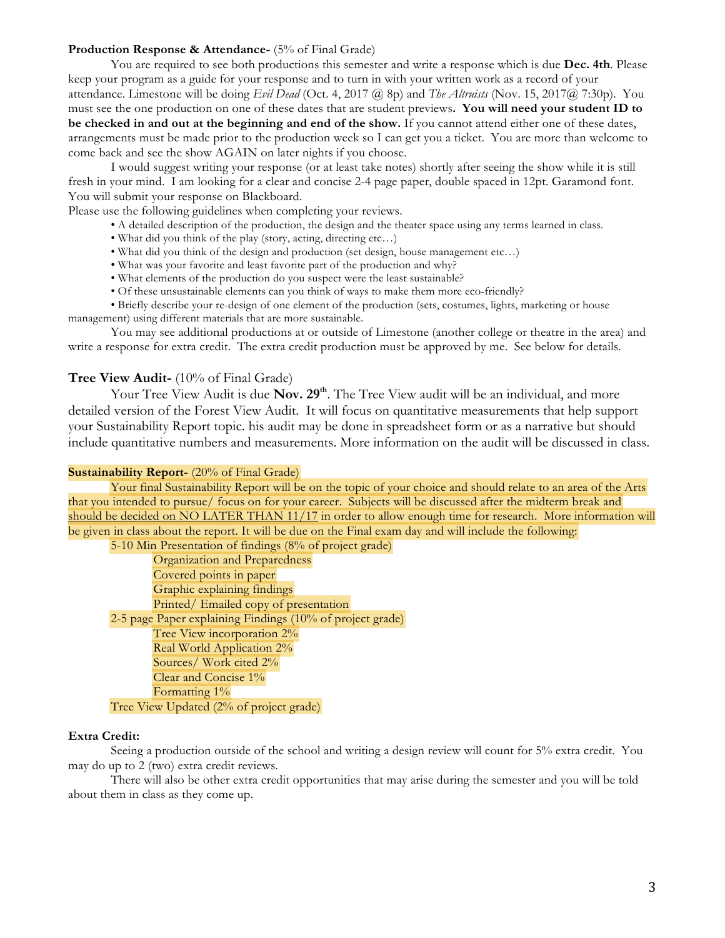#### **Production Response & Attendance-** (5% of Final Grade)

You are required to see both productions this semester and write a response which is due **Dec. 4th**. Please keep your program as a guide for your response and to turn in with your written work as a record of your attendance. Limestone will be doing *Evil Dead* (Oct. 4, 2017 @ 8p) and *The Altruists* (Nov. 15, 2017@ 7:30p). You must see the one production on one of these dates that are student previews**. You will need your student ID to be checked in and out at the beginning and end of the show.** If you cannot attend either one of these dates, arrangements must be made prior to the production week so I can get you a ticket. You are more than welcome to come back and see the show AGAIN on later nights if you choose.

I would suggest writing your response (or at least take notes) shortly after seeing the show while it is still fresh in your mind. I am looking for a clear and concise 2-4 page paper, double spaced in 12pt. Garamond font. You will submit your response on Blackboard.

Please use the following guidelines when completing your reviews.

- A detailed description of the production, the design and the theater space using any terms learned in class.
- What did you think of the play (story, acting, directing etc...)
- What did you think of the design and production (set design, house management etc…)
- What was your favorite and least favorite part of the production and why?
- What elements of the production do you suspect were the least sustainable?
- Of these unsustainable elements can you think of ways to make them more eco-friendly?

• Briefly describe your re-design of one element of the production (sets, costumes, lights, marketing or house management) using different materials that are more sustainable.

You may see additional productions at or outside of Limestone (another college or theatre in the area) and write a response for extra credit. The extra credit production must be approved by me. See below for details.

### **Tree View Audit-** (10% of Final Grade)

Your Tree View Audit is due **Nov. 29<sup>th</sup>**. The Tree View audit will be an individual, and more detailed version of the Forest View Audit. It will focus on quantitative measurements that help support your Sustainability Report topic. his audit may be done in spreadsheet form or as a narrative but should include quantitative numbers and measurements. More information on the audit will be discussed in class.

#### **Sustainability Report-** (20% of Final Grade)

Your final Sustainability Report will be on the topic of your choice and should relate to an area of the Arts that you intended to pursue/ focus on for your career. Subjects will be discussed after the midterm break and should be decided on NO LATER THAN 11/17 in order to allow enough time for research. More information will be given in class about the report. It will be due on the Final exam day and will include the following:

5-10 Min Presentation of findings (8% of project grade) Organization and Preparedness Covered points in paper Graphic explaining findings Printed/ Emailed copy of presentation 2-5 page Paper explaining Findings (10% of project grade) Tree View incorporation 2% Real World Application 2% Sources/ Work cited 2% Clear and Concise 1% Formatting 1% Tree View Updated (2% of project grade)

#### **Extra Credit:**

Seeing a production outside of the school and writing a design review will count for 5% extra credit. You may do up to 2 (two) extra credit reviews.

There will also be other extra credit opportunities that may arise during the semester and you will be told about them in class as they come up.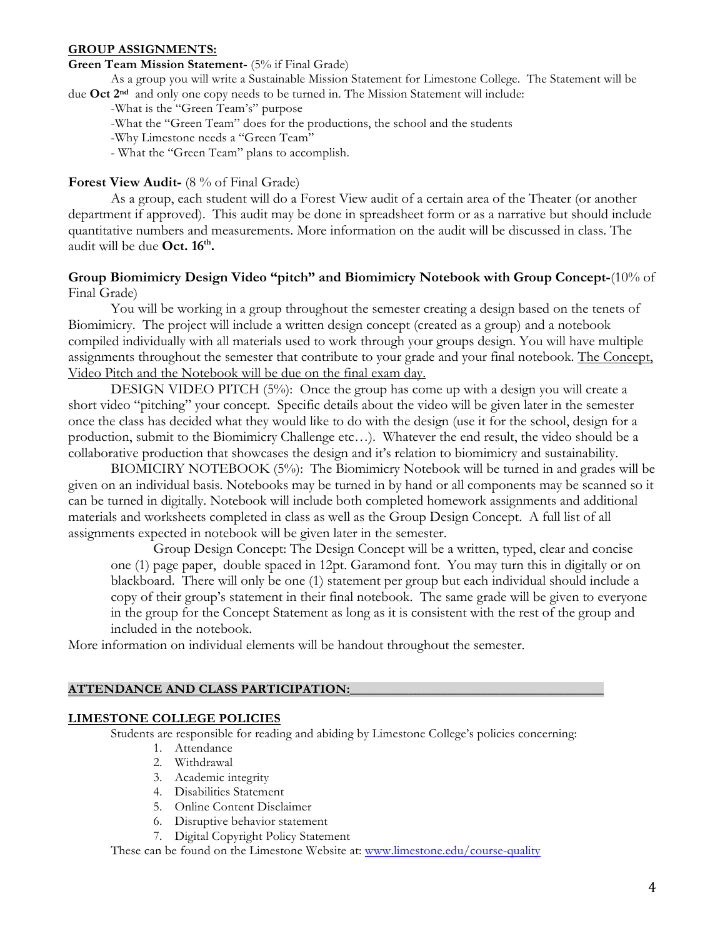### **GROUP ASSIGNMENTS:**

## **Green Team Mission Statement-** (5% if Final Grade)

As a group you will write a Sustainable Mission Statement for Limestone College. The Statement will be due **Oct 2nd** and only one copy needs to be turned in. The Mission Statement will include:

-What is the "Green Team's" purpose

-What the "Green Team" does for the productions, the school and the students

- -Why Limestone needs a "Green Team"
- What the "Green Team" plans to accomplish.

### **Forest View Audit-** (8 % of Final Grade)

As a group, each student will do a Forest View audit of a certain area of the Theater (or another department if approved). This audit may be done in spreadsheet form or as a narrative but should include quantitative numbers and measurements. More information on the audit will be discussed in class. The audit will be due **Oct.** 16<sup>th</sup>.

## **Group Biomimicry Design Video "pitch" and Biomimicry Notebook with Group Concept-**(10% of Final Grade)

You will be working in a group throughout the semester creating a design based on the tenets of Biomimicry. The project will include a written design concept (created as a group) and a notebook compiled individually with all materials used to work through your groups design. You will have multiple assignments throughout the semester that contribute to your grade and your final notebook. The Concept, Video Pitch and the Notebook will be due on the final exam day.

DESIGN VIDEO PITCH (5%): Once the group has come up with a design you will create a short video "pitching" your concept. Specific details about the video will be given later in the semester once the class has decided what they would like to do with the design (use it for the school, design for a production, submit to the Biomimicry Challenge etc…). Whatever the end result, the video should be a collaborative production that showcases the design and it's relation to biomimicry and sustainability.

BIOMICIRY NOTEBOOK (5%): The Biomimicry Notebook will be turned in and grades will be given on an individual basis. Notebooks may be turned in by hand or all components may be scanned so it can be turned in digitally. Notebook will include both completed homework assignments and additional materials and worksheets completed in class as well as the Group Design Concept. A full list of all assignments expected in notebook will be given later in the semester.

Group Design Concept: The Design Concept will be a written, typed, clear and concise one (1) page paper, double spaced in 12pt. Garamond font. You may turn this in digitally or on blackboard. There will only be one (1) statement per group but each individual should include a copy of their group's statement in their final notebook. The same grade will be given to everyone in the group for the Concept Statement as long as it is consistent with the rest of the group and included in the notebook.

More information on individual elements will be handout throughout the semester.

#### **ATTENDANCE AND CLASS PARTICIPATION:\_\_\_\_\_\_\_\_\_\_\_\_\_\_\_\_\_\_\_\_\_\_\_\_\_\_\_\_\_\_\_\_\_\_\_\_\_\_\_**

#### **LIMESTONE COLLEGE POLICIES**

Students are responsible for reading and abiding by Limestone College's policies concerning:

- 1. Attendance
- 2. Withdrawal
- 3. Academic integrity
- 4. Disabilities Statement
- 5. Online Content Disclaimer
- 6. Disruptive behavior statement
- 7. Digital Copyright Policy Statement

These can be found on the Limestone Website at: www.limestone.edu/course-quality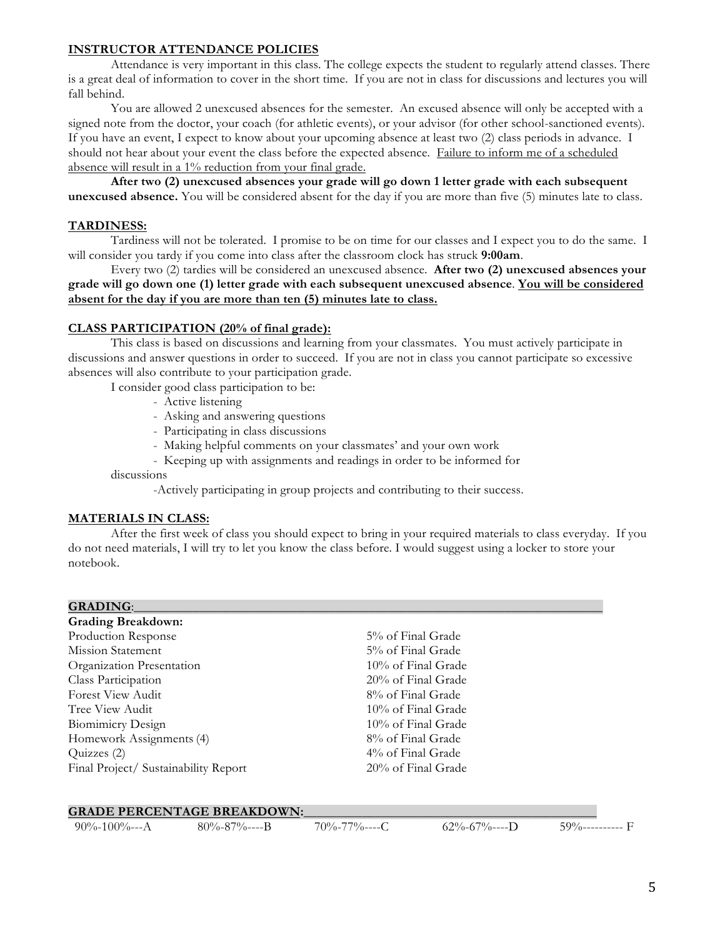### **INSTRUCTOR ATTENDANCE POLICIES**

Attendance is very important in this class. The college expects the student to regularly attend classes. There is a great deal of information to cover in the short time. If you are not in class for discussions and lectures you will fall behind.

You are allowed 2 unexcused absences for the semester. An excused absence will only be accepted with a signed note from the doctor, your coach (for athletic events), or your advisor (for other school-sanctioned events). If you have an event, I expect to know about your upcoming absence at least two (2) class periods in advance. I should not hear about your event the class before the expected absence. Failure to inform me of a scheduled absence will result in a 1% reduction from your final grade.

**After two (2) unexcused absences your grade will go down 1 letter grade with each subsequent unexcused absence.** You will be considered absent for the day if you are more than five (5) minutes late to class.

### **TARDINESS:**

Tardiness will not be tolerated. I promise to be on time for our classes and I expect you to do the same. I will consider you tardy if you come into class after the classroom clock has struck **9:00am**.

Every two (2) tardies will be considered an unexcused absence. **After two (2) unexcused absences your grade will go down one (1) letter grade with each subsequent unexcused absence**. **You will be considered absent for the day if you are more than ten (5) minutes late to class.**

### **CLASS PARTICIPATION (20% of final grade):**

This class is based on discussions and learning from your classmates. You must actively participate in discussions and answer questions in order to succeed. If you are not in class you cannot participate so excessive absences will also contribute to your participation grade.

I consider good class participation to be:

- Active listening
- Asking and answering questions
- Participating in class discussions
- Making helpful comments on your classmates' and your own work
- Keeping up with assignments and readings in order to be informed for discussions

-Actively participating in group projects and contributing to their success.

#### **MATERIALS IN CLASS:**

After the first week of class you should expect to bring in your required materials to class everyday. If you do not need materials, I will try to let you know the class before. I would suggest using a locker to store your notebook.

#### GRADING:

**Grading Breakdown:** Production Response 5% of Final Grade Mission Statement 5% of Final Grade Organization Presentation 10% of Final Grade Class Participation 20% of Final Grade Forest View Audit **8%** of Final Grade Tree View Audit 10% of Final Grade Biomimicry Design 10% of Final Grade Homework Assignments (4) 8% of Final Grade Quizzes (2) 4% of Final Grade Final Project/ Sustainability Report 20% of Final Grade

#### **GRADE PERCENTAGE BREAKDOWN:**

90%-100%---A 80%-87%----B 70%-77%----C 62%-67%----D 59%------------ F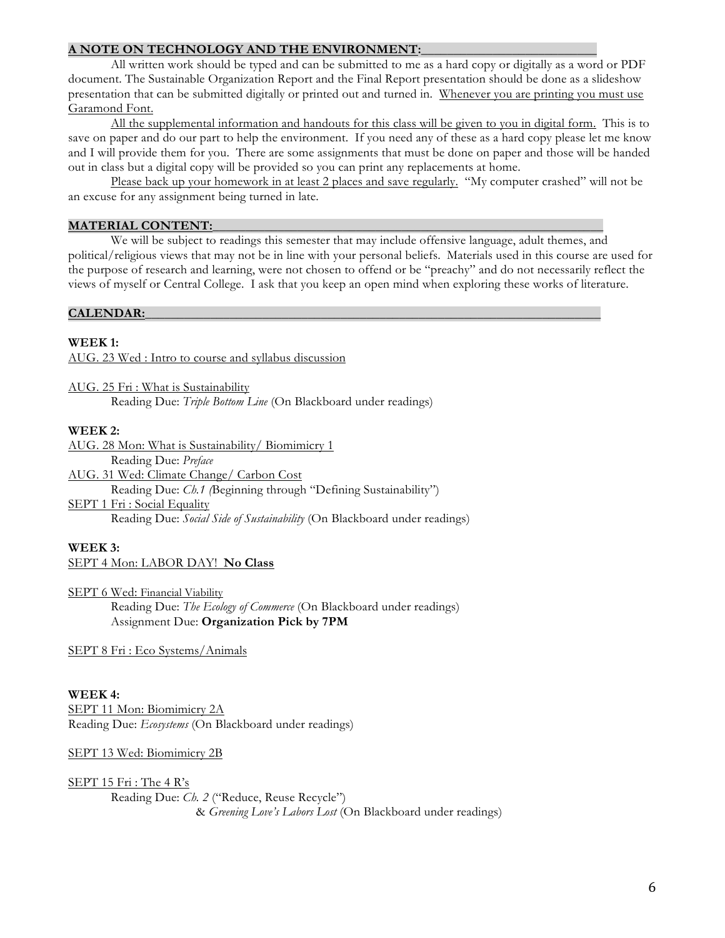### **A NOTE ON TECHNOLOGY AND THE ENVIRONMENT:\_\_\_\_\_\_\_\_\_\_\_\_\_\_\_\_\_\_\_\_\_\_\_\_\_\_\_**

All written work should be typed and can be submitted to me as a hard copy or digitally as a word or PDF document. The Sustainable Organization Report and the Final Report presentation should be done as a slideshow presentation that can be submitted digitally or printed out and turned in. Whenever you are printing you must use Garamond Font.

All the supplemental information and handouts for this class will be given to you in digital form. This is to save on paper and do our part to help the environment. If you need any of these as a hard copy please let me know and I will provide them for you. There are some assignments that must be done on paper and those will be handed out in class but a digital copy will be provided so you can print any replacements at home.

Please back up your homework in at least 2 places and save regularly. "My computer crashed" will not be an excuse for any assignment being turned in late.

#### **MATERIAL CONTENT:\_\_\_\_\_\_\_\_\_\_\_\_\_\_\_\_\_\_\_\_\_\_\_\_\_\_\_\_\_\_\_\_\_\_\_\_\_\_\_\_\_\_\_\_\_\_\_\_\_\_\_\_\_\_\_\_\_\_\_\_**

We will be subject to readings this semester that may include offensive language, adult themes, and political/religious views that may not be in line with your personal beliefs. Materials used in this course are used for the purpose of research and learning, were not chosen to offend or be "preachy" and do not necessarily reflect the views of myself or Central College. I ask that you keep an open mind when exploring these works of literature.

### CALENDAR:

### **WEEK 1:**

AUG. 23 Wed : Intro to course and syllabus discussion

AUG. 25 Fri : What is Sustainability Reading Due: *Triple Bottom Line* (On Blackboard under readings)

### **WEEK 2:**

AUG. 28 Mon: What is Sustainability/ Biomimicry 1 Reading Due: *Preface* AUG. 31 Wed: Climate Change/ Carbon Cost Reading Due: *Ch.1 (*Beginning through "Defining Sustainability") SEPT 1 Fri : Social Equality Reading Due: *Social Side of Sustainability* (On Blackboard under readings)

## **WEEK 3:**

SEPT 4 Mon: LABOR DAY! **No Class**

SEPT 6 Wed: Financial Viability Reading Due: *The Ecology of Commerce* (On Blackboard under readings) Assignment Due: **Organization Pick by 7PM**

SEPT 8 Fri : Eco Systems/Animals

#### **WEEK 4:**

SEPT 11 Mon: Biomimicry 2A Reading Due: *Ecosystems* (On Blackboard under readings)

#### SEPT 13 Wed: Biomimicry 2B

SEPT 15 Fri : The 4 R's Reading Due: *Ch. 2* ("Reduce, Reuse Recycle") & *Greening Love's Labors Lost* (On Blackboard under readings)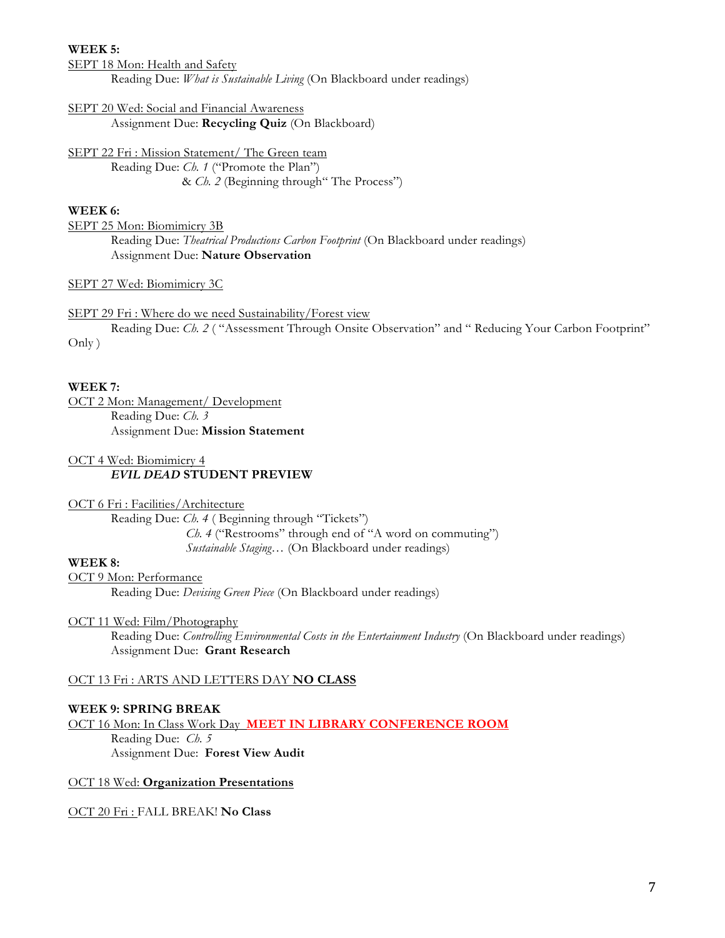#### **WEEK 5:**

SEPT 18 Mon: Health and Safety Reading Due: *What is Sustainable Living* (On Blackboard under readings)

SEPT 20 Wed: Social and Financial Awareness

Assignment Due: **Recycling Quiz** (On Blackboard)

SEPT 22 Fri : Mission Statement/ The Green team

Reading Due: *Ch. 1* ("Promote the Plan") & *Ch. 2* (Beginning through" The Process")

## **WEEK 6:**

SEPT 25 Mon: Biomimicry 3B Reading Due: *Theatrical Productions Carbon Footprint* (On Blackboard under readings) Assignment Due: **Nature Observation**

#### SEPT 27 Wed: Biomimicry 3C

SEPT 29 Fri : Where do we need Sustainability/Forest view

Reading Due: *Ch. 2* ( "Assessment Through Onsite Observation" and " Reducing Your Carbon Footprint" Only )

### **WEEK 7:**

OCT 2 Mon: Management/ Development Reading Due: *Ch. 3* Assignment Due: **Mission Statement**

#### OCT 4 Wed: Biomimicry 4 *EVIL DEAD* **STUDENT PREVIEW**

OCT 6 Fri : Facilities/Architecture

Reading Due: *Ch. 4* ( Beginning through "Tickets")  *Ch. 4* ("Restrooms" through end of "A word on commuting") *Sustainable Staging…* (On Blackboard under readings)

#### **WEEK 8:**

OCT 9 Mon: Performance Reading Due: *Devising Green Piece* (On Blackboard under readings)

#### OCT 11 Wed: Film/Photography

Reading Due: *Controlling Environmental Costs in the Entertainment Industry* (On Blackboard under readings) Assignment Due: **Grant Research**

## OCT 13 Fri : ARTS AND LETTERS DAY **NO CLASS**

#### **WEEK 9: SPRING BREAK**

OCT 16 Mon: In Class Work Day **MEET IN LIBRARY CONFERENCE ROOM** Reading Due: *Ch. 5* Assignment Due: **Forest View Audit**

### OCT 18 Wed: **Organization Presentations**

OCT 20 Fri : FALL BREAK! **No Class**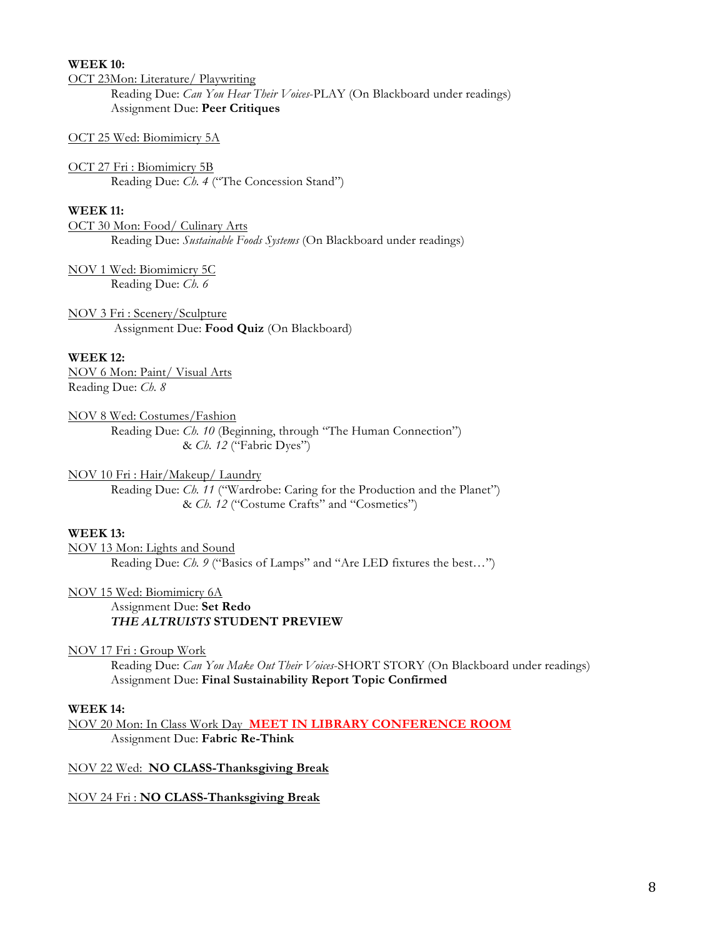### **WEEK 10:**

OCT 23Mon: Literature/ Playwriting

Reading Due: *Can You Hear Their Voices*-PLAY (On Blackboard under readings) Assignment Due: **Peer Critiques**

### OCT 25 Wed: Biomimicry 5A

OCT 27 Fri : Biomimicry 5B Reading Due: *Ch. 4* ("The Concession Stand")

## **WEEK 11:**

OCT 30 Mon: Food/ Culinary Arts Reading Due: *Sustainable Foods Systems* (On Blackboard under readings)

NOV 1 Wed: Biomimicry 5C Reading Due: *Ch. 6* 

NOV 3 Fri : Scenery/Sculpture Assignment Due: **Food Quiz** (On Blackboard)

### **WEEK 12:**

NOV 6 Mon: Paint/ Visual Arts Reading Due: *Ch. 8*

NOV 8 Wed: Costumes/Fashion Reading Due: *Ch. 10* (Beginning, through "The Human Connection") & *Ch. 12* ("Fabric Dyes")

### NOV 10 Fri : Hair/Makeup/ Laundry

Reading Due: *Ch. 11* ("Wardrobe: Caring for the Production and the Planet") & *Ch. 12* ("Costume Crafts" and "Cosmetics")

## **WEEK 13:**

NOV 13 Mon: Lights and Sound Reading Due: *Ch. 9* ("Basics of Lamps" and "Are LED fixtures the best…")

NOV 15 Wed: Biomimicry 6A

#### Assignment Due: **Set Redo** *THE ALTRUISTS* **STUDENT PREVIEW**

NOV 17 Fri : Group Work

Reading Due: *Can You Make Out Their Voices*-SHORT STORY (On Blackboard under readings) Assignment Due: **Final Sustainability Report Topic Confirmed**

### **WEEK 14:**

NOV 20 Mon: In Class Work Day **MEET IN LIBRARY CONFERENCE ROOM** Assignment Due: **Fabric Re-Think**

## NOV 22 Wed: **NO CLASS-Thanksgiving Break**

## NOV 24 Fri : **NO CLASS-Thanksgiving Break**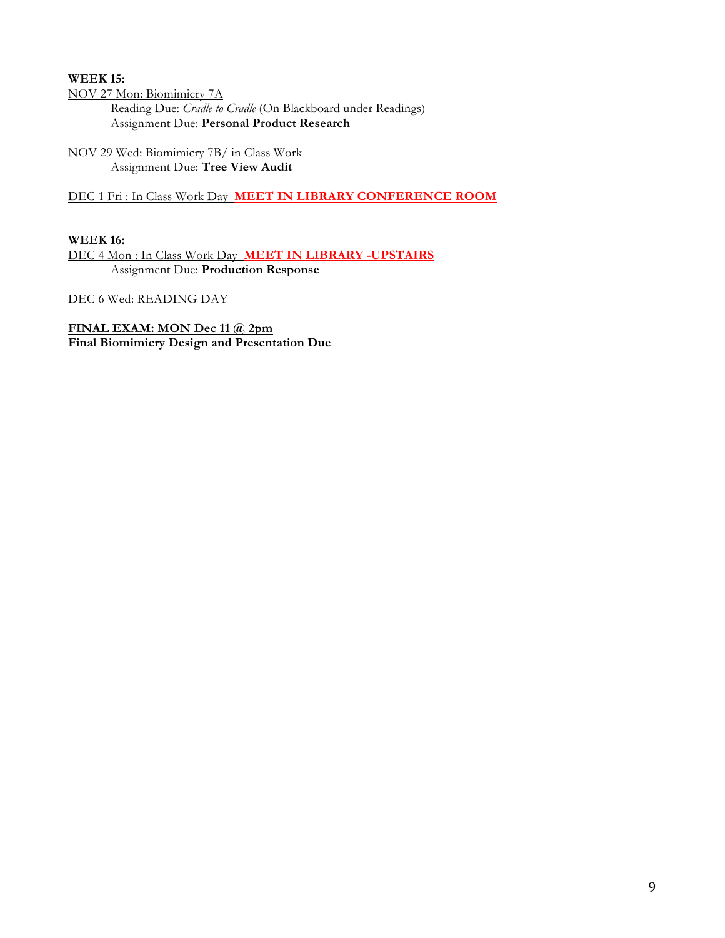## **WEEK 15:**

NOV 27 Mon: Biomimicry 7A Reading Due: *Cradle to Cradle* (On Blackboard under Readings) Assignment Due: **Personal Product Research**

NOV 29 Wed: Biomimicry 7B/ in Class Work Assignment Due: **Tree View Audit**

## DEC 1 Fri : In Class Work Day **MEET IN LIBRARY CONFERENCE ROOM**

## **WEEK 16:**

DEC 4 Mon : In Class Work Day **MEET IN LIBRARY -UPSTAIRS** Assignment Due: **Production Response**

DEC 6 Wed: READING DAY

### **FINAL EXAM: MON Dec 11 @ 2pm Final Biomimicry Design and Presentation Due**